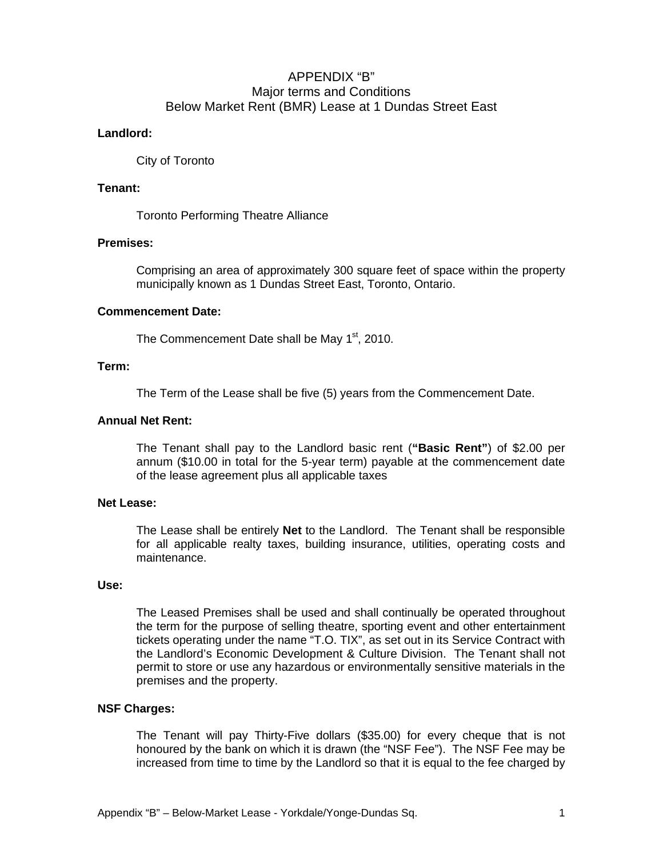# APPENDIX "B" Major terms and Conditions Below Market Rent (BMR) Lease at 1 Dundas Street East

# **Landlord:**

City of Toronto

# **Tenant:**

Toronto Performing Theatre Alliance

# **Premises:**

Comprising an area of approximately 300 square feet of space within the property municipally known as 1 Dundas Street East, Toronto, Ontario.

# **Commencement Date:**

The Commencement Date shall be May 1<sup>st</sup>, 2010.

### **Term:**

The Term of the Lease shall be five (5) years from the Commencement Date.

#### **Annual Net Rent:**

The Tenant shall pay to the Landlord basic rent (**"Basic Rent"**) of \$2.00 per annum (\$10.00 in total for the 5-year term) payable at the commencement date of the lease agreement plus all applicable taxes

#### **Net Lease:**

The Lease shall be entirely **Net** to the Landlord. The Tenant shall be responsible for all applicable realty taxes, building insurance, utilities, operating costs and maintenance.

### **Use:**

The Leased Premises shall be used and shall continually be operated throughout the term for the purpose of selling theatre, sporting event and other entertainment tickets operating under the name "T.O. TIX", as set out in its Service Contract with the Landlord's Economic Development & Culture Division. The Tenant shall not permit to store or use any hazardous or environmentally sensitive materials in the premises and the property.

# **NSF Charges:**

The Tenant will pay Thirty-Five dollars (\$35.00) for every cheque that is not honoured by the bank on which it is drawn (the "NSF Fee"). The NSF Fee may be increased from time to time by the Landlord so that it is equal to the fee charged by